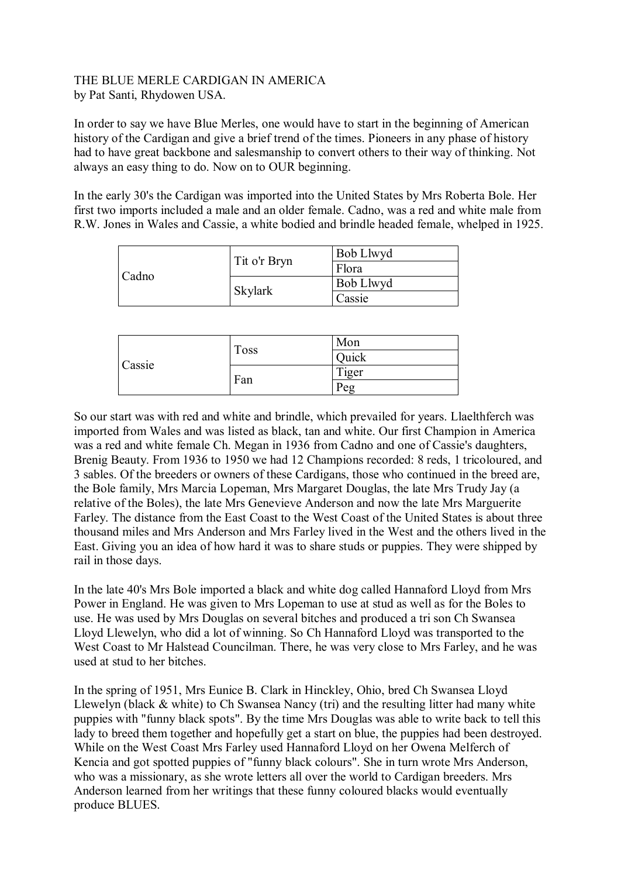## THE BLUE MERLE CARDIGAN IN AMERICA by Pat Santi, Rhydowen USA.

In order to say we have Blue Merles, one would have to start in the beginning of American history of the Cardigan and give a brief trend of the times. Pioneers in any phase of history had to have great backbone and salesmanship to convert others to their way of thinking. Not always an easy thing to do. Now on to OUR beginning.

In the early 30's the Cardigan was imported into the United States by Mrs Roberta Bole. Her first two imports included a male and an older female. Cadno, was a red and white male from R.W. Jones in Wales and Cassie, a white bodied and brindle headed female, whelped in 1925.

| Cadno | Tit o'r Bryn | <b>Bob Llwyd</b> |
|-------|--------------|------------------|
|       |              | Flora            |
|       | Skylark      | <b>Bob Llwyd</b> |
|       |              | Cassie           |

| Cassie | <b>Toss</b> | Mon   |
|--------|-------------|-------|
|        |             | Quick |
|        | Fan         | Tiger |
|        |             | Peg   |

So our start was with red and white and brindle, which prevailed for years. Llaelthferch was imported from Wales and was listed as black, tan and white. Our first Champion in America was a red and white female Ch. Megan in 1936 from Cadno and one of Cassie's daughters, Brenig Beauty. From 1936 to 1950 we had 12 Champions recorded: 8 reds, 1 tricoloured, and 3 sables. Of the breeders or owners of these Cardigans, those who continued in the breed are, the Bole family, Mrs Marcia Lopeman, Mrs Margaret Douglas, the late Mrs Trudy Jay (a relative of the Boles), the late Mrs Genevieve Anderson and now the late Mrs Marguerite Farley. The distance from the East Coast to the West Coast of the United States is about three thousand miles and Mrs Anderson and Mrs Farley lived in the West and the others lived in the East. Giving you an idea of how hard it was to share studs or puppies. They were shipped by rail in those days.

In the late 40's Mrs Bole imported a black and white dog called Hannaford Lloyd from Mrs Power in England. He was given to Mrs Lopeman to use at stud as well as for the Boles to use. He was used by Mrs Douglas on several bitches and produced a tri son Ch Swansea Lloyd Llewelyn, who did a lot of winning. So Ch Hannaford Lloyd was transported to the West Coast to Mr Halstead Councilman. There, he was very close to Mrs Farley, and he was used at stud to her bitches.

In the spring of 1951, Mrs Eunice B. Clark in Hinckley, Ohio, bred Ch Swansea Lloyd Llewelyn (black & white) to Ch Swansea Nancy (tri) and the resulting litter had many white puppies with "funny black spots". By the time Mrs Douglas was able to write back to tell this lady to breed them together and hopefully get a start on blue, the puppies had been destroyed. While on the West Coast Mrs Farley used Hannaford Lloyd on her Owena Melferch of Kencia and got spotted puppies of "funny black colours". She in turn wrote Mrs Anderson, who was a missionary, as she wrote letters all over the world to Cardigan breeders. Mrs Anderson learned from her writings that these funny coloured blacks would eventually produce BLUES.